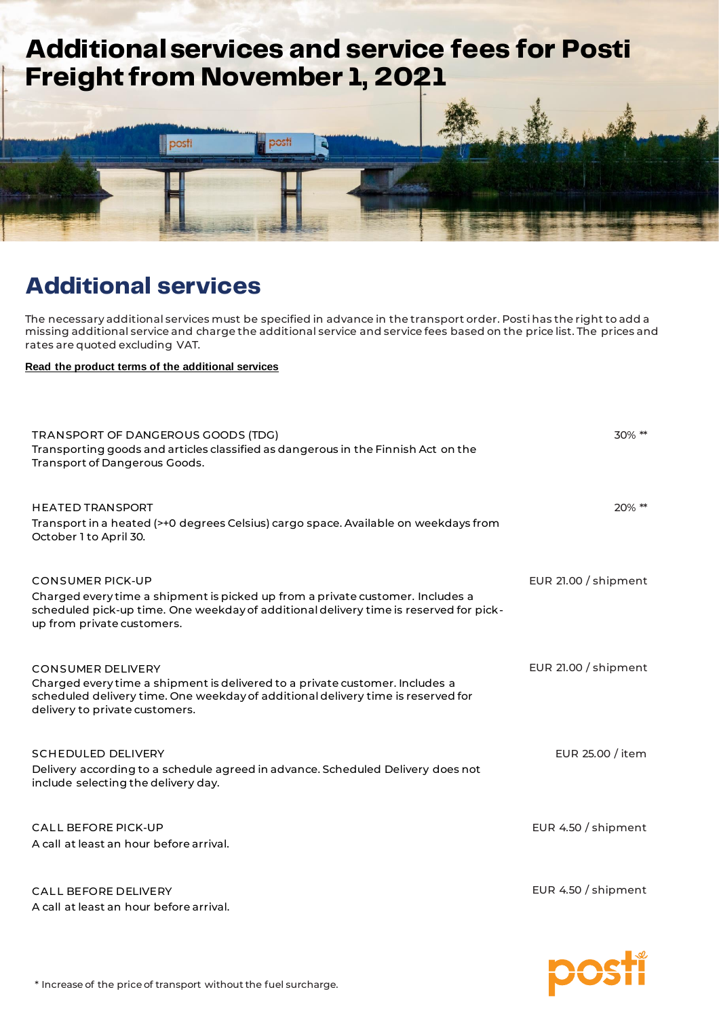

## **Additional services**

The necessary additional services must be specified in advance in the transport order. Posti has the right to add a missing additional service and charge the additional service and service fees based on the price list. The prices and rates are quoted excluding VAT.

**[Read the product terms of the additional](https://www.posti.fi/freight-additional-services-terms) services**

| TRANSPORT OF DANGEROUS GOODS (TDG)<br>Transporting goods and articles classified as dangerous in the Finnish Act on the<br>Transport of Dangerous Goods.                                                                         | 30% **               |
|----------------------------------------------------------------------------------------------------------------------------------------------------------------------------------------------------------------------------------|----------------------|
| <b>HEATED TRANSPORT</b><br>Transport in a heated (>+0 degrees Celsius) cargo space. Available on weekdays from<br>October 1 to April 30.                                                                                         | 20% **               |
| <b>CONSUMER PICK-UP</b><br>Charged every time a shipment is picked up from a private customer. Includes a<br>scheduled pick-up time. One weekday of additional delivery time is reserved for pick-<br>up from private customers. | EUR 21.00 / shipment |
| <b>CONSUMER DELIVERY</b><br>Charged every time a shipment is delivered to a private customer. Includes a<br>scheduled delivery time. One weekday of additional delivery time is reserved for<br>delivery to private customers.   | EUR 21.00 / shipment |
| <b>SCHEDULED DELIVERY</b><br>Delivery according to a schedule agreed in advance. Scheduled Delivery does not<br>include selecting the delivery day.                                                                              | EUR 25.00 / item     |
| <b>CALL BEFORE PICK-UP</b><br>A call at least an hour before arrival.                                                                                                                                                            | EUR 4.50 / shipment  |
| <b>CALL BEFORE DELIVERY</b><br>A call at least an hour before arrival.                                                                                                                                                           | EUR 4.50 / shipment  |

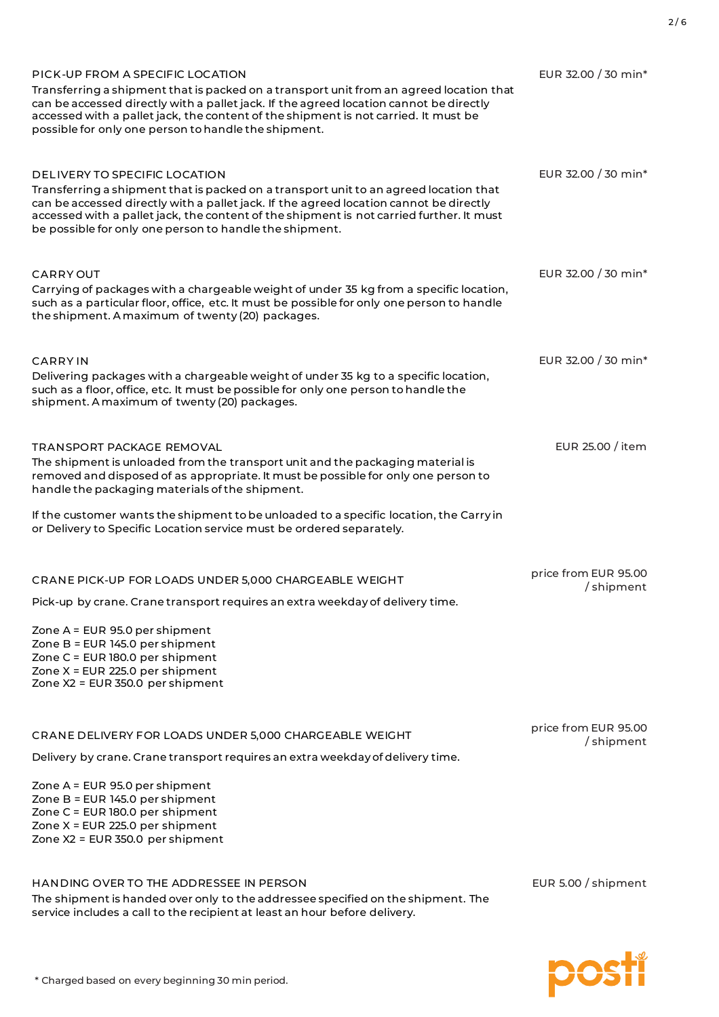| PICK-UP FROM A SPECIFIC LOCATION<br>Transferring a shipment that is packed on a transport unit from an agreed location that<br>can be accessed directly with a pallet jack. If the agreed location cannot be directly<br>accessed with a pallet jack, the content of the shipment is not carried. It must be<br>possible for only one person to handle the shipment.    | EUR 32.00 / 30 min*               |
|-------------------------------------------------------------------------------------------------------------------------------------------------------------------------------------------------------------------------------------------------------------------------------------------------------------------------------------------------------------------------|-----------------------------------|
| DELIVERY TO SPECIFIC LOCATION<br>Transferring a shipment that is packed on a transport unit to an agreed location that<br>can be accessed directly with a pallet jack. If the agreed location cannot be directly<br>accessed with a pallet jack, the content of the shipment is not carried further. It must<br>be possible for only one person to handle the shipment. | EUR 32.00 / 30 min*               |
| CARRY OUT<br>Carrying of packages with a chargeable weight of under 35 kg from a specific location,<br>such as a particular floor, office, etc. It must be possible for only one person to handle<br>the shipment. A maximum of twenty (20) packages.                                                                                                                   | EUR 32.00 / 30 min <sup>*</sup>   |
| <b>CARRY IN</b><br>Delivering packages with a chargeable weight of under 35 kg to a specific location,<br>such as a floor, office, etc. It must be possible for only one person to handle the<br>shipment. A maximum of twenty (20) packages.                                                                                                                           | EUR 32.00 / 30 min <sup>*</sup>   |
| TRANSPORT PACKAGE REMOVAL<br>The shipment is unloaded from the transport unit and the packaging material is<br>removed and disposed of as appropriate. It must be possible for only one person to<br>handle the packaging materials of the shipment.                                                                                                                    | EUR 25.00 / item                  |
| If the customer wants the shipment to be unloaded to a specific location, the Carry in<br>or Delivery to Specific Location service must be ordered separately.                                                                                                                                                                                                          |                                   |
| CRANE PICK-UP FOR LOADS UNDER 5,000 CHARGEABLE WEIGHT<br>Pick-up by crane. Crane transport requires an extra weekday of delivery time.                                                                                                                                                                                                                                  | price from EUR 95.00<br>/shipment |
| Zone A = EUR 95.0 per shipment<br>Zone B = EUR 145.0 per shipment<br>Zone C = EUR 180.0 per shipment<br>Zone X = EUR 225.0 per shipment<br>Zone X2 = EUR 350.0 per shipment                                                                                                                                                                                             |                                   |
| CRANE DELIVERY FOR LOADS UNDER 5,000 CHARGEABLE WEIGHT                                                                                                                                                                                                                                                                                                                  | price from EUR 95.00<br>/shipment |
| Delivery by crane. Crane transport requires an extra weekday of delivery time.                                                                                                                                                                                                                                                                                          |                                   |
| Zone A = EUR 95.0 per shipment<br>Zone B = EUR 145.0 per shipment<br>Zone C = EUR 180.0 per shipment<br>Zone X = EUR 225.0 per shipment<br>Zone X2 = EUR 350.0 per shipment                                                                                                                                                                                             |                                   |
| HANDING OVER TO THE ADDRESSEE IN PERSON<br>The shipment is handed over only to the addressee specified on the shipment. The<br>service includes a call to the recipient at least an hour before delivery.                                                                                                                                                               | EUR 5.00 / shipment               |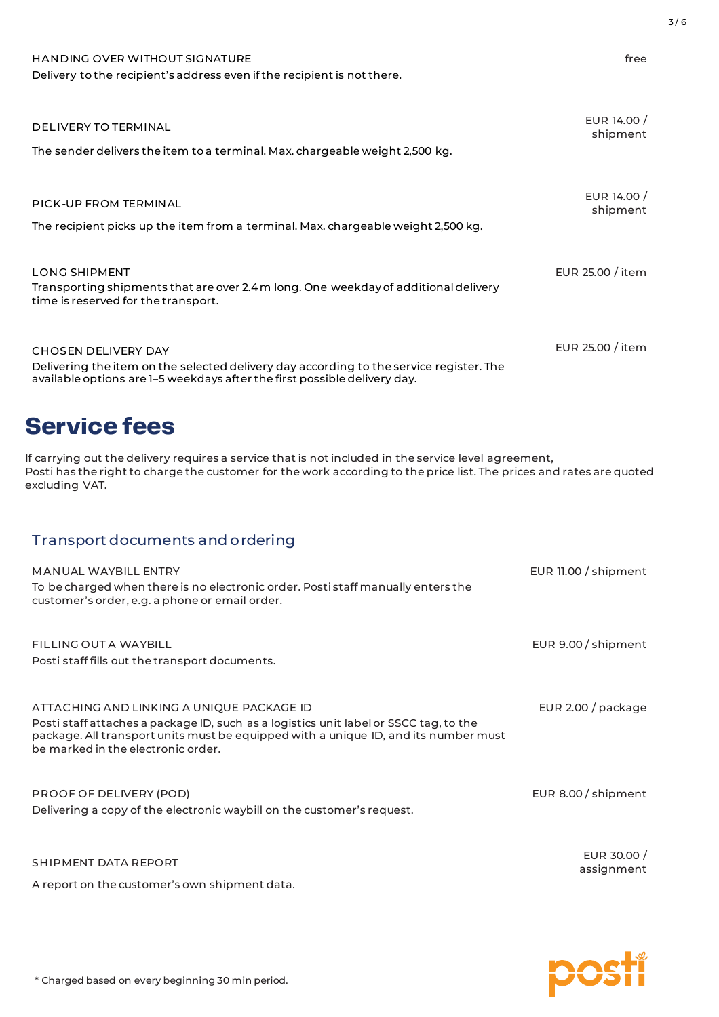| <b>HANDING OVER WITHOUT SIGNATURE</b><br>Delivery to the recipient's address even if the recipient is not there.                                                                                                                                                      | free                      |
|-----------------------------------------------------------------------------------------------------------------------------------------------------------------------------------------------------------------------------------------------------------------------|---------------------------|
| <b>DELIVERY TO TERMINAL</b><br>The sender delivers the item to a terminal. Max. chargeable weight 2,500 kg.                                                                                                                                                           | EUR 14.00 /<br>shipment   |
| PICK-UP FROM TERMINAL<br>The recipient picks up the item from a terminal. Max. chargeable weight 2,500 kg.                                                                                                                                                            | EUR 14.00 /<br>shipment   |
| <b>LONG SHIPMENT</b><br>Transporting shipments that are over 2.4 m long. One weekday of additional delivery<br>time is reserved for the transport.                                                                                                                    | EUR 25.00 / item          |
| <b>CHOSEN DELIVERY DAY</b><br>Delivering the item on the selected delivery day according to the service register. The<br>available options are 1-5 weekdays after the first possible delivery day.                                                                    | EUR 25.00 / item          |
| <b>Service fees</b><br>If carrying out the delivery requires a service that is not included in the service level agreement,<br>Posti has the right to charge the customer for the work according to the price list. The prices and rates are quoted<br>excluding VAT. |                           |
| Transport documents and ordering<br><b>MANUAL WAYBILL ENTRY</b><br>To be charged when there is no electronic order. Posti staff manually enters the<br>customer's order, e.g. a phone or email order.                                                                 | EUR 11.00 / shipment      |
| <b>FILLING OUT A WAYBILL</b><br>Posti staff fills out the transport documents.                                                                                                                                                                                        | EUR 9.00 / shipment       |
| ATTACHING AND LINKING A UNIQUE PACKAGE ID<br>Posti staff attaches a package ID, such as a logistics unit label or SSCC tag, to the<br>package. All transport units must be equipped with a unique ID, and its number must<br>be marked in the electronic order.       | EUR 2.00 / package        |
| PROOF OF DELIVERY (POD)<br>Delivering a copy of the electronic waybill on the customer's request.                                                                                                                                                                     | EUR 8.00 / shipment       |
| SHIPMENT DATA REPORT<br>A report on the customer's own shipment data.                                                                                                                                                                                                 | EUR 30.00 /<br>assignment |



3 / 6

\* Charged based on every beginning 30 min period.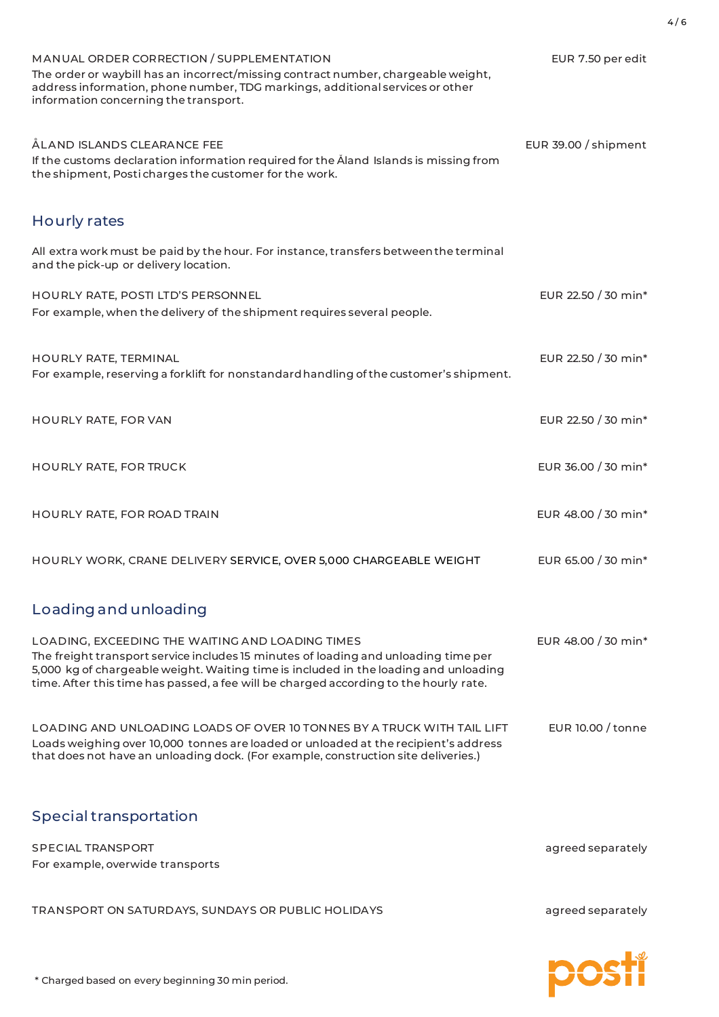| MANUAL ORDER CORRECTION / SUPPLEMENTATION<br>The order or waybill has an incorrect/missing contract number, chargeable weight,<br>address information, phone number, TDG markings, additional services or other<br>information concerning the transport.                                                                 | EUR 7.50 per edit               |
|--------------------------------------------------------------------------------------------------------------------------------------------------------------------------------------------------------------------------------------------------------------------------------------------------------------------------|---------------------------------|
| ÅLAND ISLANDS CLEARANCE FEE<br>If the customs declaration information required for the Åland Islands is missing from<br>the shipment, Posti charges the customer for the work.                                                                                                                                           | EUR 39.00 / shipment            |
| Hourly rates                                                                                                                                                                                                                                                                                                             |                                 |
| All extra work must be paid by the hour. For instance, transfers between the terminal<br>and the pick-up or delivery location.                                                                                                                                                                                           |                                 |
| HOURLY RATE, POSTI LTD'S PERSONNEL<br>For example, when the delivery of the shipment requires several people.                                                                                                                                                                                                            | EUR 22.50 / 30 min <sup>*</sup> |
| HOURLY RATE, TERMINAL<br>For example, reserving a forklift for nonstandard handling of the customer's shipment.                                                                                                                                                                                                          | EUR 22.50 / 30 min <sup>*</sup> |
| HOURLY RATE, FOR VAN                                                                                                                                                                                                                                                                                                     | EUR 22.50 / 30 min <sup>*</sup> |
| <b>HOURLY RATE, FOR TRUCK</b>                                                                                                                                                                                                                                                                                            | EUR 36.00 / 30 min <sup>*</sup> |
| HOURLY RATE, FOR ROAD TRAIN                                                                                                                                                                                                                                                                                              | EUR 48.00 / 30 min*             |
| HOURLY WORK, CRANE DELIVERY SERVICE, OVER 5,000 CHARGEABLE WEIGHT                                                                                                                                                                                                                                                        | EUR 65.00 / 30 min*             |
| Loading and unloading                                                                                                                                                                                                                                                                                                    |                                 |
| LOADING, EXCEEDING THE WAITING AND LOADING TIMES<br>The freight transport service includes 15 minutes of loading and unloading time per<br>5,000 kg of chargeable weight. Waiting time is included in the loading and unloading<br>time. After this time has passed, a fee will be charged according to the hourly rate. | EUR 48.00 / 30 min*             |
| LOADING AND UNLOADING LOADS OF OVER 10 TONNES BY A TRUCK WITH TAIL LIFT<br>Loads weighing over 10,000 tonnes are loaded or unloaded at the recipient's address<br>that does not have an unloading dock. (For example, construction site deliveries.)                                                                     | EUR 10.00 / tonne               |
| Special transportation                                                                                                                                                                                                                                                                                                   |                                 |
| <b>SPECIAL TRANSPORT</b><br>For example, overwide transports                                                                                                                                                                                                                                                             | agreed separately               |
| TRANSPORT ON SATURDAYS, SUNDAYS OR PUBLIC HOLIDAYS                                                                                                                                                                                                                                                                       | agreed separately               |

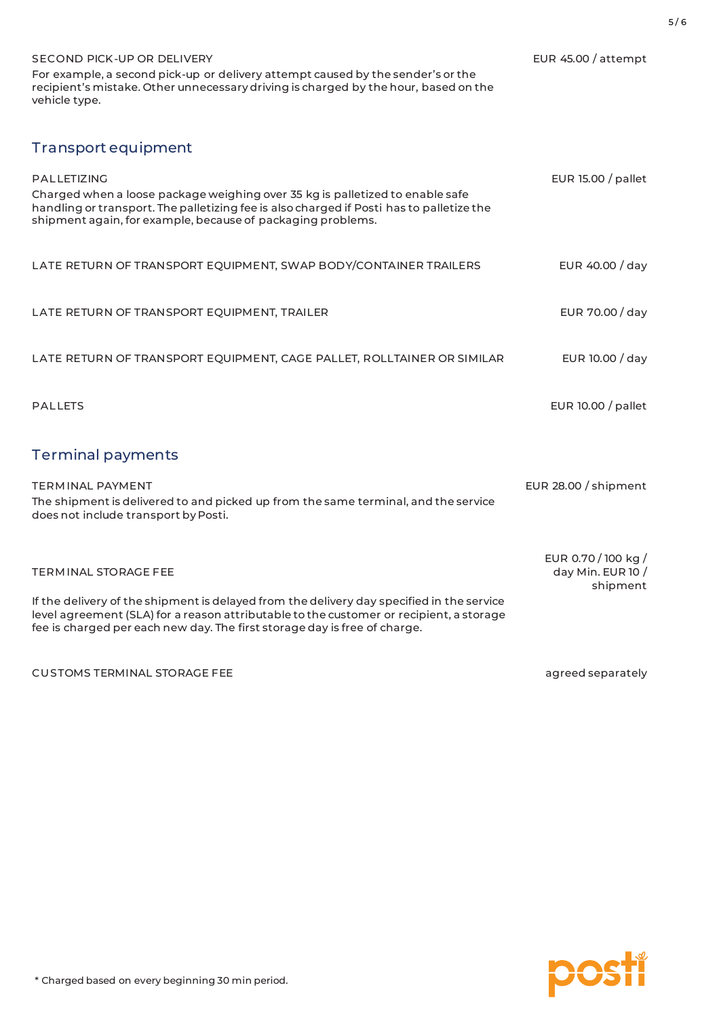| SECOND PICK-UP OR DELIVERY<br>For example, a second pick-up or delivery attempt caused by the sender's or the<br>recipient's mistake. Other unnecessary driving is charged by the hour, based on the<br>vehicle type.                                             | EUR 45.00 / attempt                        |
|-------------------------------------------------------------------------------------------------------------------------------------------------------------------------------------------------------------------------------------------------------------------|--------------------------------------------|
| Transport equipment                                                                                                                                                                                                                                               |                                            |
| PALLETIZING<br>Charged when a loose package weighing over 35 kg is palletized to enable safe<br>handling or transport. The palletizing fee is also charged if Posti has to palletize the<br>shipment again, for example, because of packaging problems.           | EUR 15.00 / pallet                         |
| LATE RETURN OF TRANSPORT EQUIPMENT, SWAP BODY/CONTAINER TRAILERS                                                                                                                                                                                                  | EUR 40.00 / day                            |
| LATE RETURN OF TRANSPORT EQUIPMENT, TRAILER                                                                                                                                                                                                                       | EUR 70.00 / day                            |
| LATE RETURN OF TRANSPORT EQUIPMENT, CAGE PALLET, ROLLTAINER OR SIMILAR                                                                                                                                                                                            | EUR 10.00 / day                            |
| <b>PALLETS</b>                                                                                                                                                                                                                                                    | EUR 10.00 / pallet                         |
| <b>Terminal payments</b>                                                                                                                                                                                                                                          |                                            |
| <b>TERMINAL PAYMENT</b><br>The shipment is delivered to and picked up from the same terminal, and the service<br>does not include transport by Posti.                                                                                                             | EUR 28.00 / shipment                       |
| TERMINAL STORAGE FEE                                                                                                                                                                                                                                              | EUR 0.70 / 100 kg /<br>day Min. EUR 10 $/$ |
| If the delivery of the shipment is delayed from the delivery day specified in the service<br>level agreement (SLA) for a reason attributable to the customer or recipient, a storage<br>fee is charged per each new day. The first storage day is free of charge. | shipment                                   |
| <b>CUSTOMS TERMINAL STORAGE FEE</b>                                                                                                                                                                                                                               | agreed separately                          |